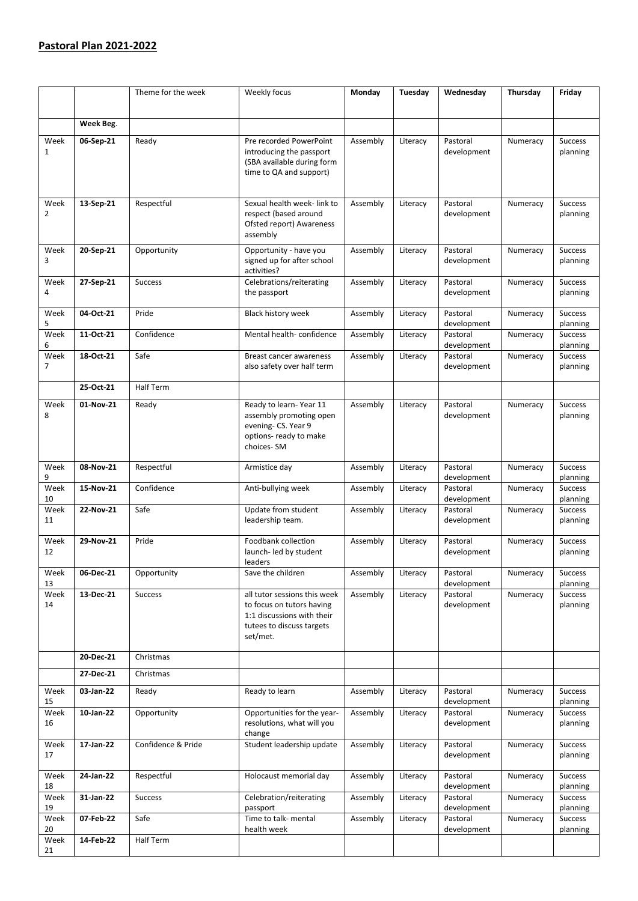## **Pastoral Plan 2021-2022**

|                        |           | Theme for the week | Weekly focus                                                                                                                     | Monday   | Tuesday  | Wednesday               | Thursday | Friday                     |
|------------------------|-----------|--------------------|----------------------------------------------------------------------------------------------------------------------------------|----------|----------|-------------------------|----------|----------------------------|
|                        |           |                    |                                                                                                                                  |          |          |                         |          |                            |
|                        | Week Beg. |                    |                                                                                                                                  |          |          |                         |          |                            |
| Week<br>$\mathbf{1}$   | 06-Sep-21 | Ready              | Pre recorded PowerPoint<br>introducing the passport<br>(SBA available during form<br>time to QA and support)                     | Assembly | Literacy | Pastoral<br>development | Numeracy | <b>Success</b><br>planning |
| Week                   | 13-Sep-21 | Respectful         | Sexual health week-link to                                                                                                       | Assembly | Literacy | Pastoral                | Numeracy | <b>Success</b>             |
| 2                      |           |                    | respect (based around<br>Ofsted report) Awareness<br>assembly                                                                    |          |          | development             |          | planning                   |
| Week<br>3              | 20-Sep-21 | Opportunity        | Opportunity - have you<br>signed up for after school<br>activities?                                                              | Assembly | Literacy | Pastoral<br>development | Numeracy | <b>Success</b><br>planning |
| Week<br>4              | 27-Sep-21 | <b>Success</b>     | Celebrations/reiterating<br>the passport                                                                                         | Assembly | Literacy | Pastoral<br>development | Numeracy | <b>Success</b><br>planning |
| Week<br>5              | 04-Oct-21 | Pride              | Black history week                                                                                                               | Assembly | Literacy | Pastoral<br>development | Numeracy | <b>Success</b><br>planning |
| Week<br>6              | 11-Oct-21 | Confidence         | Mental health-confidence                                                                                                         | Assembly | Literacy | Pastoral<br>development | Numeracy | <b>Success</b><br>planning |
| Week<br>$\overline{7}$ | 18-Oct-21 | Safe               | Breast cancer awareness<br>also safety over half term                                                                            | Assembly | Literacy | Pastoral<br>development | Numeracy | <b>Success</b><br>planning |
|                        | 25-Oct-21 | <b>Half Term</b>   |                                                                                                                                  |          |          |                         |          |                            |
| Week<br>8              | 01-Nov-21 | Ready              | Ready to learn-Year 11<br>assembly promoting open<br>evening-CS. Year 9<br>options- ready to make<br>choices-SM                  | Assembly | Literacy | Pastoral<br>development | Numeracy | <b>Success</b><br>planning |
| Week<br>9              | 08-Nov-21 | Respectful         | Armistice day                                                                                                                    | Assembly | Literacy | Pastoral<br>development | Numeracy | <b>Success</b><br>planning |
| Week<br>10             | 15-Nov-21 | Confidence         | Anti-bullying week                                                                                                               | Assembly | Literacy | Pastoral<br>development | Numeracy | Success<br>planning        |
| Week<br>11             | 22-Nov-21 | Safe               | Update from student<br>leadership team.                                                                                          | Assembly | Literacy | Pastoral<br>development | Numeracy | <b>Success</b><br>planning |
| Week<br>12             | 29-Nov-21 | Pride              | Foodbank collection<br>launch- led by student<br>leaders                                                                         | Assembly | Literacy | Pastoral<br>development | Numeracy | <b>Success</b><br>planning |
| Week<br>13             | 06-Dec-21 | Opportunity        | Save the children                                                                                                                | Assembly | Literacy | Pastoral<br>development | Numeracy | <b>Success</b><br>planning |
| Week<br>14             | 13-Dec-21 | <b>Success</b>     | all tutor sessions this week<br>to focus on tutors having<br>1:1 discussions with their<br>tutees to discuss targets<br>set/met. | Assembly | Literacy | Pastoral<br>development | Numeracy | Success<br>planning        |
|                        | 20-Dec-21 | Christmas          |                                                                                                                                  |          |          |                         |          |                            |
|                        | 27-Dec-21 | Christmas          |                                                                                                                                  |          |          |                         |          |                            |
| Week<br>15             | 03-Jan-22 | Ready              | Ready to learn                                                                                                                   | Assembly | Literacy | Pastoral<br>development | Numeracy | <b>Success</b><br>planning |
| Week<br>16             | 10-Jan-22 | Opportunity        | Opportunities for the year-<br>resolutions, what will you<br>change                                                              | Assembly | Literacy | Pastoral<br>development | Numeracy | Success<br>planning        |
| Week<br>17             | 17-Jan-22 | Confidence & Pride | Student leadership update                                                                                                        | Assembly | Literacy | Pastoral<br>development | Numeracy | <b>Success</b><br>planning |
| Week<br>18             | 24-Jan-22 | Respectful         | Holocaust memorial day                                                                                                           | Assembly | Literacy | Pastoral<br>development | Numeracy | Success<br>planning        |
| Week<br>19             | 31-Jan-22 | <b>Success</b>     | Celebration/reiterating<br>passport                                                                                              | Assembly | Literacy | Pastoral<br>development | Numeracy | Success<br>planning        |
| Week<br>20             | 07-Feb-22 | Safe               | Time to talk- mental<br>health week                                                                                              | Assembly | Literacy | Pastoral<br>development | Numeracy | Success<br>planning        |
| Week<br>21             | 14-Feb-22 | Half Term          |                                                                                                                                  |          |          |                         |          |                            |